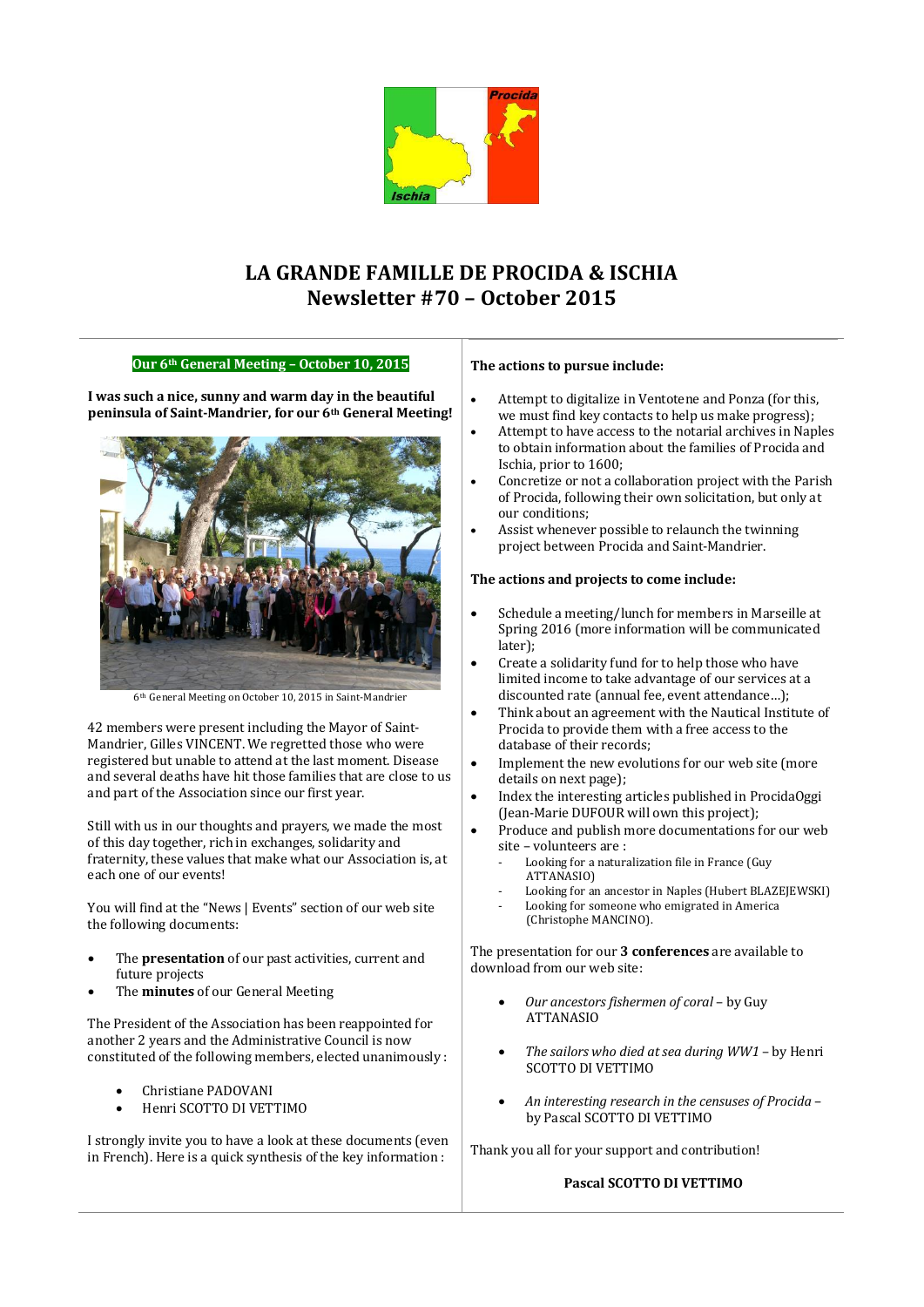

# **LA GRANDE FAMILLE DE PROCIDA & ISCHIA Newsletter #70 – October 2015**

## **Our 6th General Meeting – October 10, 2015**

**I was such a nice, sunny and warm day in the beautiful peninsula of Saint-Mandrier, for our 6th General Meeting!**



6th General Meeting on October 10, 2015 in Saint-Mandrier

42 members were present including the Mayor of Saint-Mandrier, Gilles VINCENT. We regretted those who were registered but unable to attend at the last moment. Disease and several deaths have hit those families that are close to us and part of the Association since our first year.

Still with us in our thoughts and prayers, we made the most of this day together, rich in exchanges, solidarity and fraternity, these values that make what our Association is, at each one of our events!

You will find at the "News | Events" section of our web site the following documents:

- The **presentation** of our past activities, current and future projects
- The **minutes** of our General Meeting

The President of the Association has been reappointed for another 2 years and the Administrative Council is now constituted of the following members, elected unanimously :

- Christiane PADOVANI
- Henri SCOTTO DI VETTIMO

I strongly invite you to have a look at these documents (even in French). Here is a quick synthesis of the key information :

#### **The actions to pursue include:**

- Attempt to digitalize in Ventotene and Ponza (for this, we must find key contacts to help us make progress);
- Attempt to have access to the notarial archives in Naples to obtain information about the families of Procida and Ischia, prior to 1600;
- Concretize or not a collaboration project with the Parish of Procida, following their own solicitation, but only at our conditions;
- Assist whenever possible to relaunch the twinning project between Procida and Saint-Mandrier.

#### **The actions and projects to come include:**

- Schedule a meeting/lunch for members in Marseille at Spring 2016 (more information will be communicated later);
- Create a solidarity fund for to help those who have limited income to take advantage of our services at a discounted rate (annual fee, event attendance…);
- Think about an agreement with the Nautical Institute of Procida to provide them with a free access to the database of their records;
- Implement the new evolutions for our web site (more details on next page);
- Index the interesting articles published in ProcidaOggi (Jean-Marie DUFOUR will own this project);
- Produce and publish more documentations for our web site – volunteers are :
	- Looking for a naturalization file in France (Guy ATTANASIO)
	- Looking for an ancestor in Naples (Hubert BLAZEJEWSKI)
	- Looking for someone who emigrated in America (Christophe MANCINO).

The presentation for our **3 conferences** are available to download from our web site:

- *Our ancestors fishermen of coral*  by Guy ATTANASIO
- *The sailors who died at sea during WW1*  by Henri SCOTTO DI VETTIMO
- *An interesting research in the censuses of Procida*  by Pascal SCOTTO DI VETTIMO

Thank you all for your support and contribution!

### **Pascal SCOTTO DI VETTIMO**